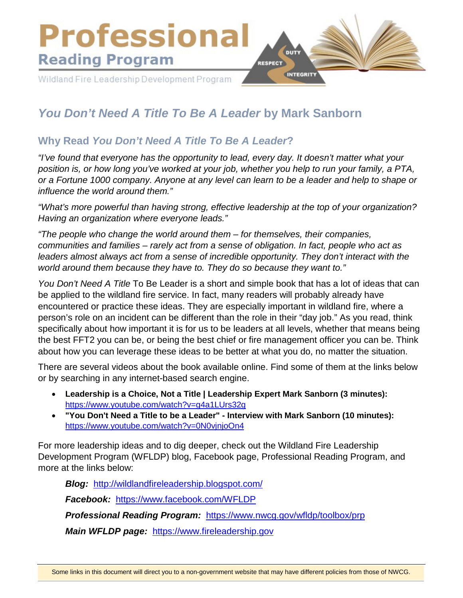

# *You Don't Need A Title To Be A Leader* **by Mark Sanborn**

## **Why Read** *You Don't Need A Title To Be A Leader***?**

*"I've found that everyone has the opportunity to lead, every day. It doesn't matter what your position is, or how long you've worked at your job, whether you help to run your family, a PTA, or a Fortune 1000 company. Anyone at any level can learn to be a leader and help to shape or influence the world around them."*

*"What's more powerful than having strong, effective leadership at the top of your organization? Having an organization where everyone leads."*

*"The people who change the world around them – for themselves, their companies, communities and families – rarely act from a sense of obligation. In fact, people who act as leaders almost always act from a sense of incredible opportunity. They don't interact with the world around them because they have to. They do so because they want to."*

*You Don't Need A Title* To Be Leader is a short and simple book that has a lot of ideas that can be applied to the wildland fire service. In fact, many readers will probably already have encountered or practice these ideas. They are especially important in wildland fire, where a person's role on an incident can be different than the role in their "day job." As you read, think specifically about how important it is for us to be leaders at all levels, whether that means being the best FFT2 you can be, or being the best chief or fire management officer you can be. Think about how you can leverage these ideas to be better at what you do, no matter the situation.

There are several videos about the book available online. Find some of them at the links below or by searching in any internet-based search engine.

- **Leadership is a Choice, Not a Title | Leadership Expert Mark Sanborn (3 minutes):** <https://www.youtube.com/watch?v=g4a1LUrs32g>
- **"You Don't Need a Title to be a Leader" Interview with Mark Sanborn (10 minutes):** <https://www.youtube.com/watch?v=0N0vjnjoOn4>

For more leadership ideas and to dig deeper, check out the Wildland Fire Leadership Development Program (WFLDP) blog, Facebook page, Professional Reading Program, and more at the links below:

*Blog:* <http://wildlandfireleadership.blogspot.com/> *Facebook:* <https://www.facebook.com/WFLDP>

*Professional Reading Program:* <https://www.nwcg.gov/wfldp/toolbox/prp>

*Main WFLDP page:* [https://www.fireleadership.gov](https://www.fireleadership.gov/)